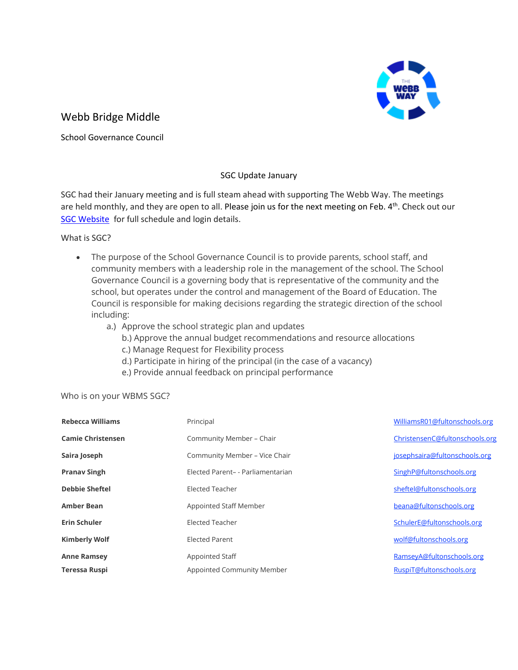

# Webb Bridge Middle

School Governance Council

# SGC Update January

SGC had their January meeting and is full steam ahead with supporting The Webb Way. The meetings are held monthly, and they are open to all. Please join us for the next meeting on Feb. 4<sup>th</sup>. Check out our [SGC Website](https://www.fultonschools.org/domain/3811) for full schedule and login details.

What is SGC?

- The purpose of the School Governance Council is to provide parents, school staff, and community members with a leadership role in the management of the school. The School Governance Council is a governing body that is representative of the community and the school, but operates under the control and management of the Board of Education. The Council is responsible for making decisions regarding the strategic direction of the school including:
	- a.) Approve the school strategic plan and updates
		- b.) Approve the annual budget recommendations and resource allocations
		- c.) Manage Request for Flexibility process
		- d.) Participate in hiring of the principal (in the case of a vacancy)
		- e.) Provide annual feedback on principal performance

Who is on your WBMS SGC?

| <b>Rebecca Williams</b>  | Principal                         | WilliamsR01@fultonschools.org  |
|--------------------------|-----------------------------------|--------------------------------|
| <b>Camie Christensen</b> | Community Member - Chair          | ChristensenC@fultonschools.org |
| Saira Joseph             | Community Member - Vice Chair     | josephsaira@fultonschools.org  |
| <b>Pranav Singh</b>      | Elected Parent- - Parliamentarian | SinghP@fultonschools.org       |
| <b>Debbie Sheftel</b>    | Elected Teacher                   | sheftel@fultonschools.org      |
| <b>Amber Bean</b>        | Appointed Staff Member            | beana@fultonschools.org        |
| <b>Erin Schuler</b>      | Elected Teacher                   | SchulerE@fultonschools.org     |
| <b>Kimberly Wolf</b>     | <b>Elected Parent</b>             | wolf@fultonschools.org         |
| <b>Anne Ramsey</b>       | Appointed Staff                   | RamseyA@fultonschools.org      |
| <b>Teressa Ruspi</b>     | Appointed Community Member        | RuspiT@fultonschools.org       |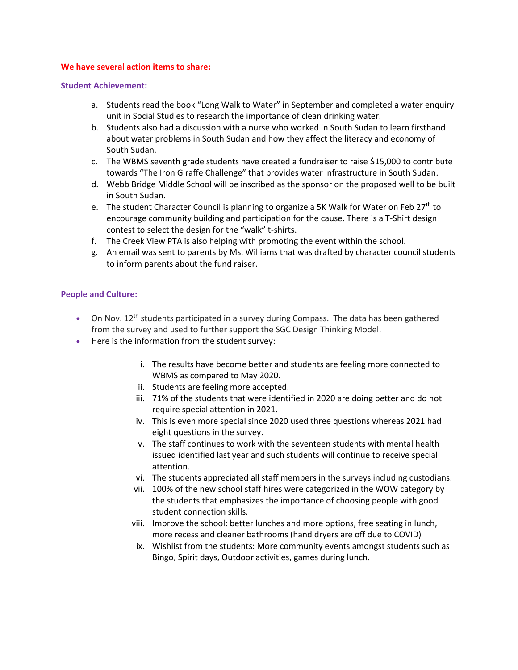#### **We have several action items to share:**

#### **Student Achievement:**

- a. Students read the book "Long Walk to Water" in September and completed a water enquiry unit in Social Studies to research the importance of clean drinking water.
- b. Students also had a discussion with a nurse who worked in South Sudan to learn firsthand about water problems in South Sudan and how they affect the literacy and economy of South Sudan.
- c. The WBMS seventh grade students have created a fundraiser to raise \$15,000 to contribute towards "The Iron Giraffe Challenge" that provides water infrastructure in South Sudan.
- d. Webb Bridge Middle School will be inscribed as the sponsor on the proposed well to be built in South Sudan.
- e. The student Character Council is planning to organize a 5K Walk for Water on Feb 27<sup>th</sup> to encourage community building and participation for the cause. There is a T-Shirt design contest to select the design for the "walk" t-shirts.
- f. The Creek View PTA is also helping with promoting the event within the school.
- g. An email was sent to parents by Ms. Williams that was drafted by character council students to inform parents about the fund raiser.

#### **People and Culture:**

- On Nov.  $12^{th}$  students participated in a survey during Compass. The data has been gathered from the survey and used to further support the SGC Design Thinking Model.
- Here is the information from the student survey:
	- i. The results have become better and students are feeling more connected to WBMS as compared to May 2020.
	- ii. Students are feeling more accepted.
	- iii. 71% of the students that were identified in 2020 are doing better and do not require special attention in 2021.
	- iv. This is even more special since 2020 used three questions whereas 2021 had eight questions in the survey.
	- v. The staff continues to work with the seventeen students with mental health issued identified last year and such students will continue to receive special attention.
	- vi. The students appreciated all staff members in the surveys including custodians.
	- vii. 100% of the new school staff hires were categorized in the WOW category by the students that emphasizes the importance of choosing people with good student connection skills.
	- viii. Improve the school: better lunches and more options, free seating in lunch, more recess and cleaner bathrooms (hand dryers are off due to COVID)
	- ix. Wishlist from the students: More community events amongst students such as Bingo, Spirit days, Outdoor activities, games during lunch.